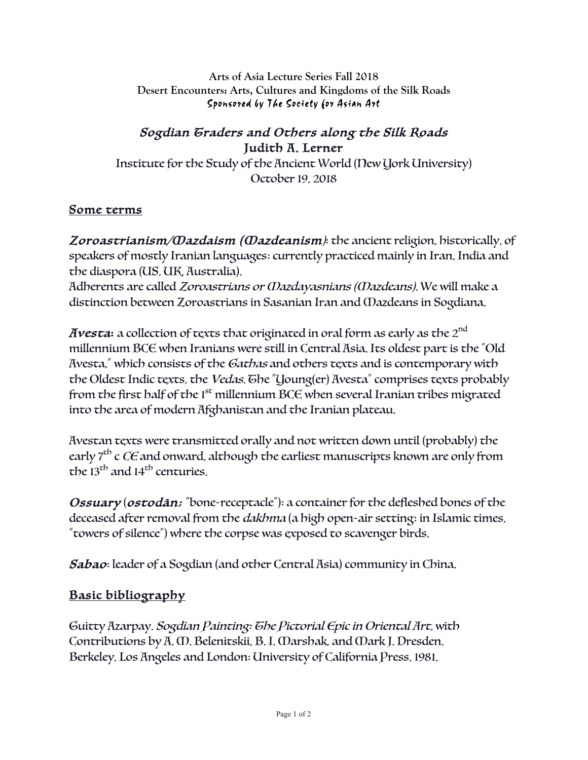**Arts of Asia Lecture Series Fall 2018 Desert Encounters: Arts, Cultures and Kingdoms of the Silk Roads** Sponsored by The Society for Asian Art

## Sogdian Graders and Others along the Silk Roads Judith A. Lerner

Institute for the Study of the Ancient World (New York University) October 19, 2018

## Some terms

Zoroastrianism/Mazdaism (Mazdeanism): the ancient religion, historically, of speakers of mostly Iranian languages; currently practiced mainly in Iran, India and the diaspora (US, UK, Australia).

Adherents are called Zoroastrians or Mazdayasnians (Mazdeans). We will make a distinction between Zoroastrians in Sasanian Iran and Mazdeans in Sogdiana.

Avesta: a collection of texts that originated in oral form as early as the  $2^{\rm nd}$ millennium BCE when Iranians were still in Central Asia. Its oldest part is the "Old Avesta," which consists of the Gathas and others texts and is contemporary with the Oldest Indic texts, the *Vedas*. The "Young(er) Avesta" comprises texts probably from the first half of the  $1<sup>st</sup>$  millennium BCE when several Iranian tribes migrated into the area of modern Afghanistan and the Iranian plateau.

Avestan texts were transmitted orally and not written down until (probably) the early  $7<sup>th</sup>$  c CE and onward, although the earliest manuscripts known are only from the  $13<sup>th</sup>$  and  $14<sup>th</sup>$  centuries.

Ossuary (ostodān; "bone-receptacle"): a container for the defleshed bones of the deceased after removal from the dakhma (a high open-air setting; in Islamic times, "towers of silence") where the corpse was exposed to scavenger birds.

Sabao: leader of a Sogdian (and other Central Asia) community in China.

## Basic bibliography

Guitty Azarpay. Sogdian Painting: The Pictorial Epic in Oriental Art, with Contributions by A. M. Belenitskii, B. I. Marshak, and Mark J. Dresden. Berkeley, Los Angeles and London: University of California Press, 1981.